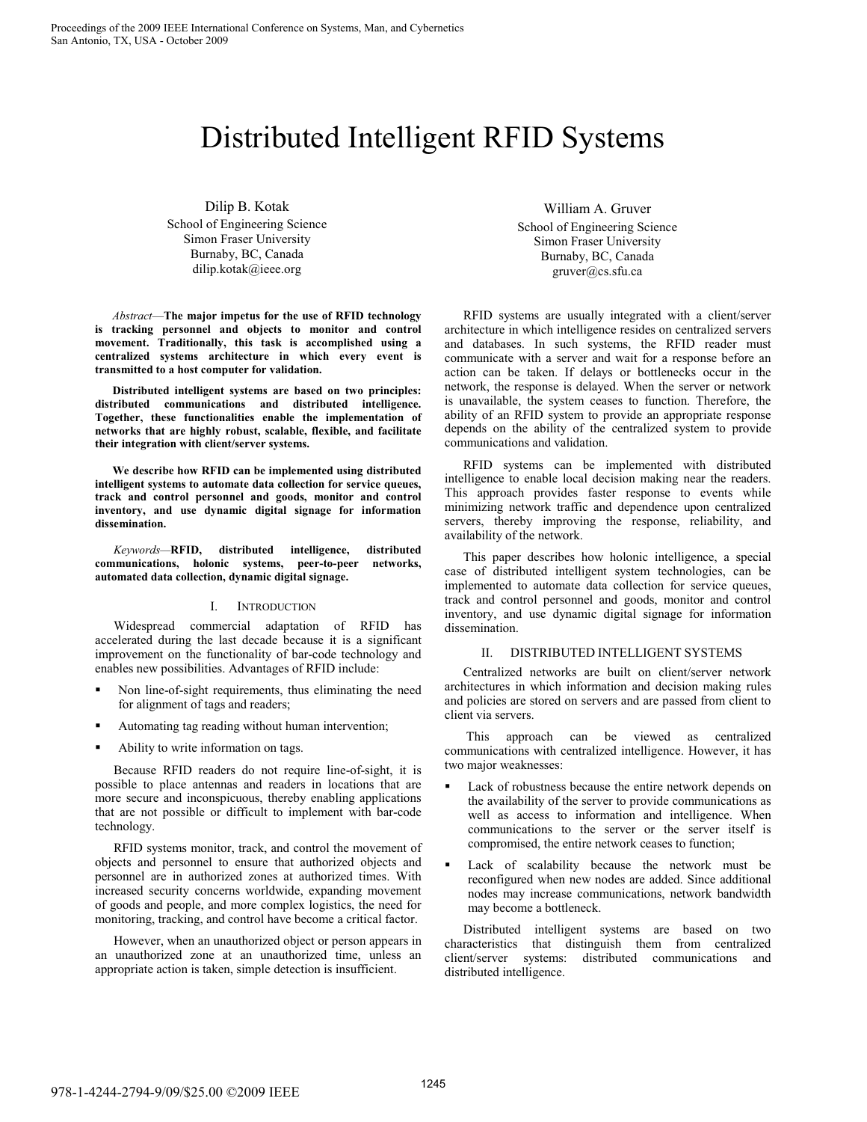# Distributed Intelligent RFID Systems

Dilip B. Kotak School of Engineering Science Simon Fraser University Burnaby, BC, Canada dilip.kotak@ieee.org

*Abstract*—**The major impetus for the use of RFID technology is tracking personnel and objects to monitor and control movement. Traditionally, this task is accomplished using a centralized systems architecture in which every event is transmitted to a host computer for validation.** 

**Distributed intelligent systems are based on two principles: distributed communications and distributed intelligence. Together, these functionalities enable the implementation of networks that are highly robust, scalable, flexible, and facilitate their integration with client/server systems.** 

**We describe how RFID can be implemented using distributed intelligent systems to automate data collection for service queues, track and control personnel and goods, monitor and control inventory, and use dynamic digital signage for information dissemination.** 

*Keywords—***RFID, distributed intelligence, distributed communications, holonic systems, peer-to-peer networks, automated data collection, dynamic digital signage.**

# I. INTRODUCTION

Widespread commercial adaptation of RFID has accelerated during the last decade because it is a significant improvement on the functionality of bar-code technology and enables new possibilities. Advantages of RFID include:

- Non line-of-sight requirements, thus eliminating the need for alignment of tags and readers;
- Automating tag reading without human intervention;
- Ability to write information on tags.

Because RFID readers do not require line-of-sight, it is possible to place antennas and readers in locations that are more secure and inconspicuous, thereby enabling applications that are not possible or difficult to implement with bar-code technology.

RFID systems monitor, track, and control the movement of objects and personnel to ensure that authorized objects and personnel are in authorized zones at authorized times. With increased security concerns worldwide, expanding movement of goods and people, and more complex logistics, the need for monitoring, tracking, and control have become a critical factor.

However, when an unauthorized object or person appears in an unauthorized zone at an unauthorized time, unless an appropriate action is taken, simple detection is insufficient.

William A. Gruver School of Engineering Science Simon Fraser University Burnaby, BC, Canada gruver@cs.sfu.ca

RFID systems are usually integrated with a client/server architecture in which intelligence resides on centralized servers and databases. In such systems, the RFID reader must communicate with a server and wait for a response before an action can be taken. If delays or bottlenecks occur in the network, the response is delayed. When the server or network is unavailable, the system ceases to function. Therefore, the ability of an RFID system to provide an appropriate response depends on the ability of the centralized system to provide communications and validation.

RFID systems can be implemented with distributed intelligence to enable local decision making near the readers. This approach provides faster response to events while minimizing network traffic and dependence upon centralized servers, thereby improving the response, reliability, and availability of the network.

This paper describes how holonic intelligence, a special case of distributed intelligent system technologies, can be implemented to automate data collection for service queues, track and control personnel and goods, monitor and control inventory, and use dynamic digital signage for information dissemination.

# II. DISTRIBUTED INTELLIGENT SYSTEMS

Centralized networks are built on client/server network architectures in which information and decision making rules and policies are stored on servers and are passed from client to client via servers.

 This approach can be viewed as centralized communications with centralized intelligence. However, it has two major weaknesses:

- **Lack of robustness because the entire network depends on** the availability of the server to provide communications as well as access to information and intelligence. When communications to the server or the server itself is compromised, the entire network ceases to function;
- Lack of scalability because the network must be reconfigured when new nodes are added. Since additional nodes may increase communications, network bandwidth may become a bottleneck.

Distributed intelligent systems are based on two characteristics that distinguish them from centralized client/server systems: distributed communications and distributed intelligence.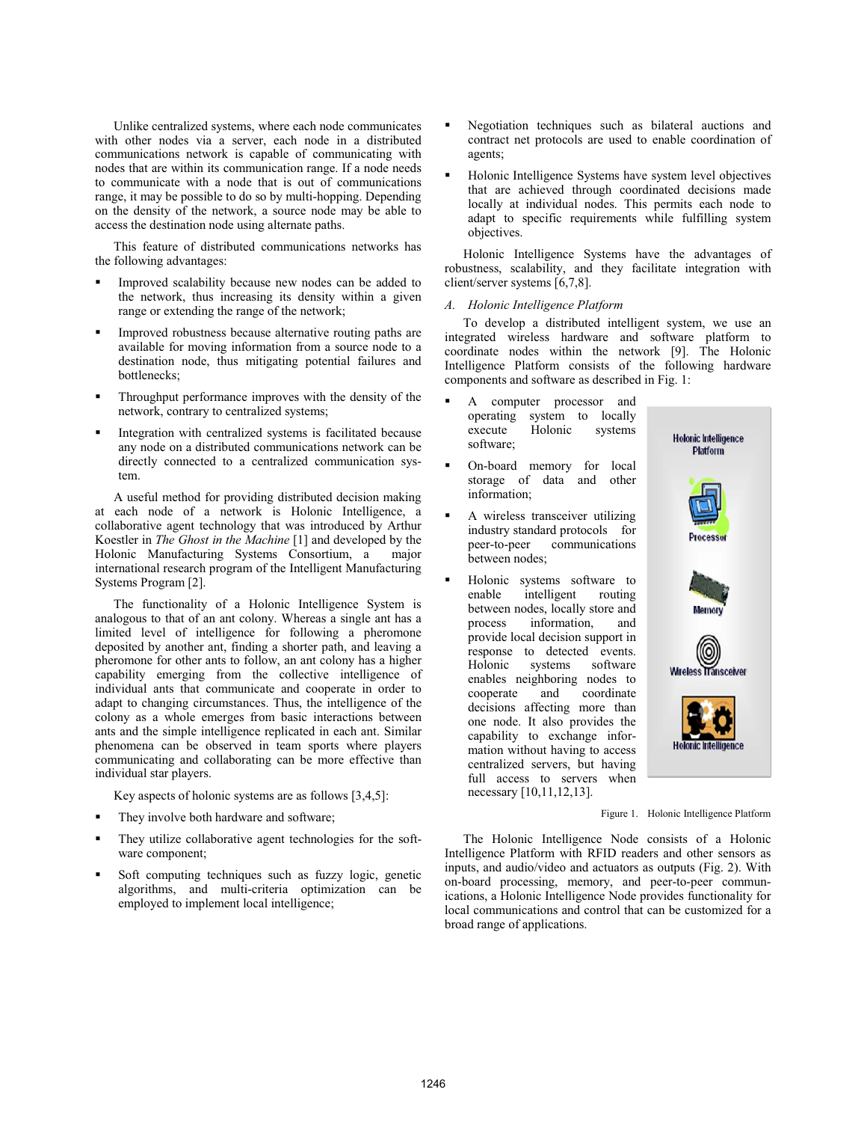Unlike centralized systems, where each node communicates with other nodes via a server, each node in a distributed communications network is capable of communicating with nodes that are within its communication range. If a node needs to communicate with a node that is out of communications range, it may be possible to do so by multi-hopping. Depending on the density of the network, a source node may be able to access the destination node using alternate paths.

This feature of distributed communications networks has the following advantages:

- Improved scalability because new nodes can be added to the network, thus increasing its density within a given range or extending the range of the network;
- Improved robustness because alternative routing paths are available for moving information from a source node to a destination node, thus mitigating potential failures and bottlenecks;
- Throughput performance improves with the density of the network, contrary to centralized systems;
- Integration with centralized systems is facilitated because any node on a distributed communications network can be directly connected to a centralized communication system.

A useful method for providing distributed decision making at each node of a network is Holonic Intelligence, a collaborative agent technology that was introduced by Arthur Koestler in *The Ghost in the Machine* [1] and developed by the Holonic Manufacturing Systems Consortium, a major Holonic Manufacturing Systems Consortium, a international research program of the Intelligent Manufacturing Systems Program [2].

The functionality of a Holonic Intelligence System is analogous to that of an ant colony. Whereas a single ant has a limited level of intelligence for following a pheromone deposited by another ant, finding a shorter path, and leaving a pheromone for other ants to follow, an ant colony has a higher capability emerging from the collective intelligence of individual ants that communicate and cooperate in order to adapt to changing circumstances. Thus, the intelligence of the colony as a whole emerges from basic interactions between ants and the simple intelligence replicated in each ant. Similar phenomena can be observed in team sports where players communicating and collaborating can be more effective than individual star players.

Key aspects of holonic systems are as follows [3,4,5]:

- They involve both hardware and software;
- They utilize collaborative agent technologies for the software component;
- Soft computing techniques such as fuzzy logic, genetic algorithms, and multi-criteria optimization can be employed to implement local intelligence;
- Negotiation techniques such as bilateral auctions and contract net protocols are used to enable coordination of agents;
- Holonic Intelligence Systems have system level objectives that are achieved through coordinated decisions made locally at individual nodes. This permits each node to adapt to specific requirements while fulfilling system objectives.

Holonic Intelligence Systems have the advantages of robustness, scalability, and they facilitate integration with client/server systems [6,7,8].

# *A. Holonic Intelligence Platform*

To develop a distributed intelligent system, we use an integrated wireless hardware and software platform to coordinate nodes within the network [9]. The Holonic Intelligence Platform consists of the following hardware components and software as described in Fig. 1:

- A computer processor and operating system to locally execute Holonic systems software;
- On-board memory for local storage of data and other information;
- A wireless transceiver utilizing industry standard protocols for peer-to-peer communications between nodes;
- Holonic systems software to enable intelligent routing between nodes, locally store and process information, and provide local decision support in response to detected events. Holonic systems software enables neighboring nodes to cooperate and coordinate decisions affecting more than one node. It also provides the capability to exchange information without having to access centralized servers, but having full access to servers when necessary [10,11,12,13].



Figure 1. Holonic Intelligence Platform

The Holonic Intelligence Node consists of a Holonic Intelligence Platform with RFID readers and other sensors as inputs, and audio/video and actuators as outputs (Fig. 2). With on-board processing, memory, and peer-to-peer communications, a Holonic Intelligence Node provides functionality for local communications and control that can be customized for a broad range of applications.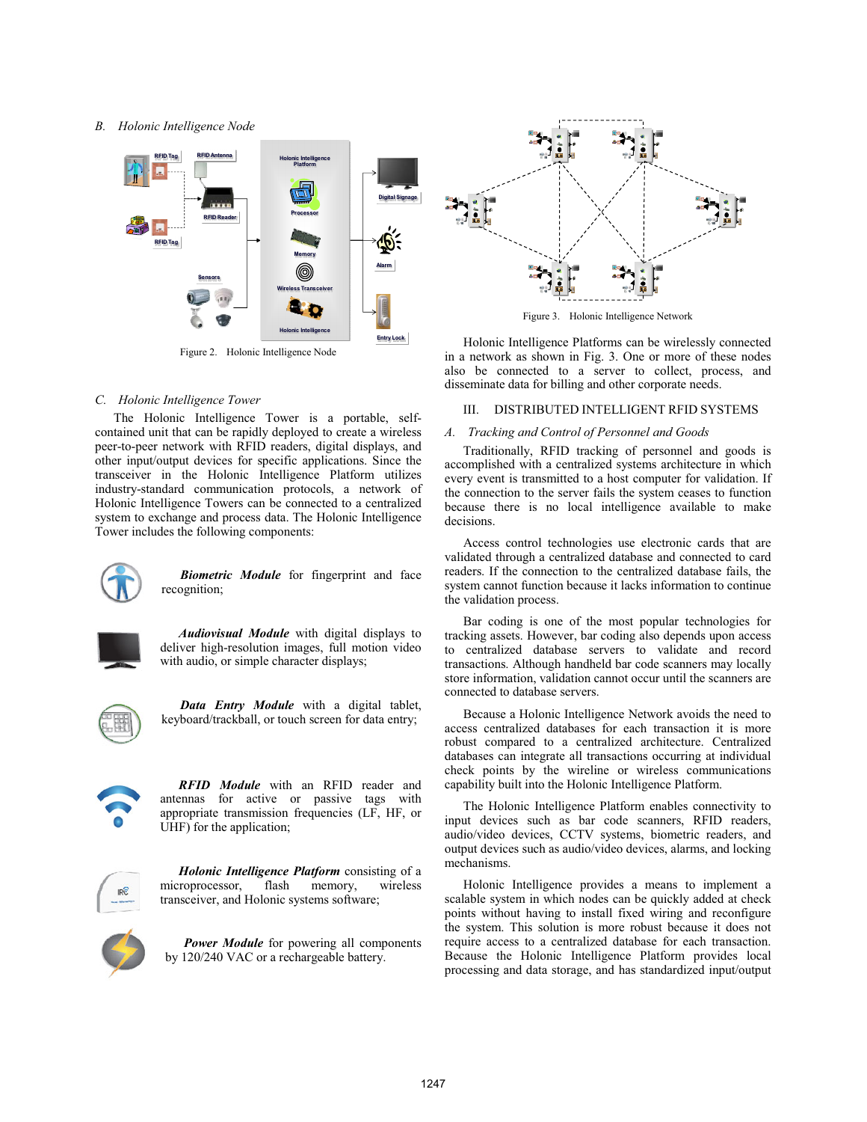# *B. Holonic Intelligence Node*



# *C. Holonic Intelligence Tower*

The Holonic Intelligence Tower is a portable, selfcontained unit that can be rapidly deployed to create a wireless peer-to-peer network with RFID readers, digital displays, and other input/output devices for specific applications. Since the transceiver in the Holonic Intelligence Platform utilizes industry-standard communication protocols, a network of Holonic Intelligence Towers can be connected to a centralized system to exchange and process data. The Holonic Intelligence Tower includes the following components:



*Biometric Module* for fingerprint and face recognition;



*Audiovisual Module* with digital displays to deliver high-resolution images, full motion video with audio, or simple character displays;



*Data Entry Module* with a digital tablet, keyboard/trackball, or touch screen for data entry;



*RFID Module* with an RFID reader and antennas for active or passive tags with appropriate transmission frequencies (LF, HF, or UHF) for the application;



*Holonic Intelligence Platform* consisting of a microprocessor, flash memory, wireless transceiver, and Holonic systems software;



*Power Module* for powering all components by 120/240 VAC or a rechargeable battery.



Figure 3. Holonic Intelligence Network

Holonic Intelligence Platforms can be wirelessly connected in a network as shown in Fig. 3. One or more of these nodes also be connected to a server to collect, process, and disseminate data for billing and other corporate needs.

# III. DISTRIBUTED INTELLIGENT RFID SYSTEMS

#### *A. Tracking and Control of Personnel and Goods*

Traditionally, RFID tracking of personnel and goods is accomplished with a centralized systems architecture in which every event is transmitted to a host computer for validation. If the connection to the server fails the system ceases to function because there is no local intelligence available to make decisions.

Access control technologies use electronic cards that are validated through a centralized database and connected to card readers. If the connection to the centralized database fails, the system cannot function because it lacks information to continue the validation process.

Bar coding is one of the most popular technologies for tracking assets. However, bar coding also depends upon access to centralized database servers to validate and record transactions. Although handheld bar code scanners may locally store information, validation cannot occur until the scanners are connected to database servers.

Because a Holonic Intelligence Network avoids the need to access centralized databases for each transaction it is more robust compared to a centralized architecture. Centralized databases can integrate all transactions occurring at individual check points by the wireline or wireless communications capability built into the Holonic Intelligence Platform.

The Holonic Intelligence Platform enables connectivity to input devices such as bar code scanners, RFID readers, audio/video devices, CCTV systems, biometric readers, and output devices such as audio/video devices, alarms, and locking mechanisms.

Holonic Intelligence provides a means to implement a scalable system in which nodes can be quickly added at check points without having to install fixed wiring and reconfigure the system. This solution is more robust because it does not require access to a centralized database for each transaction. Because the Holonic Intelligence Platform provides local processing and data storage, and has standardized input/output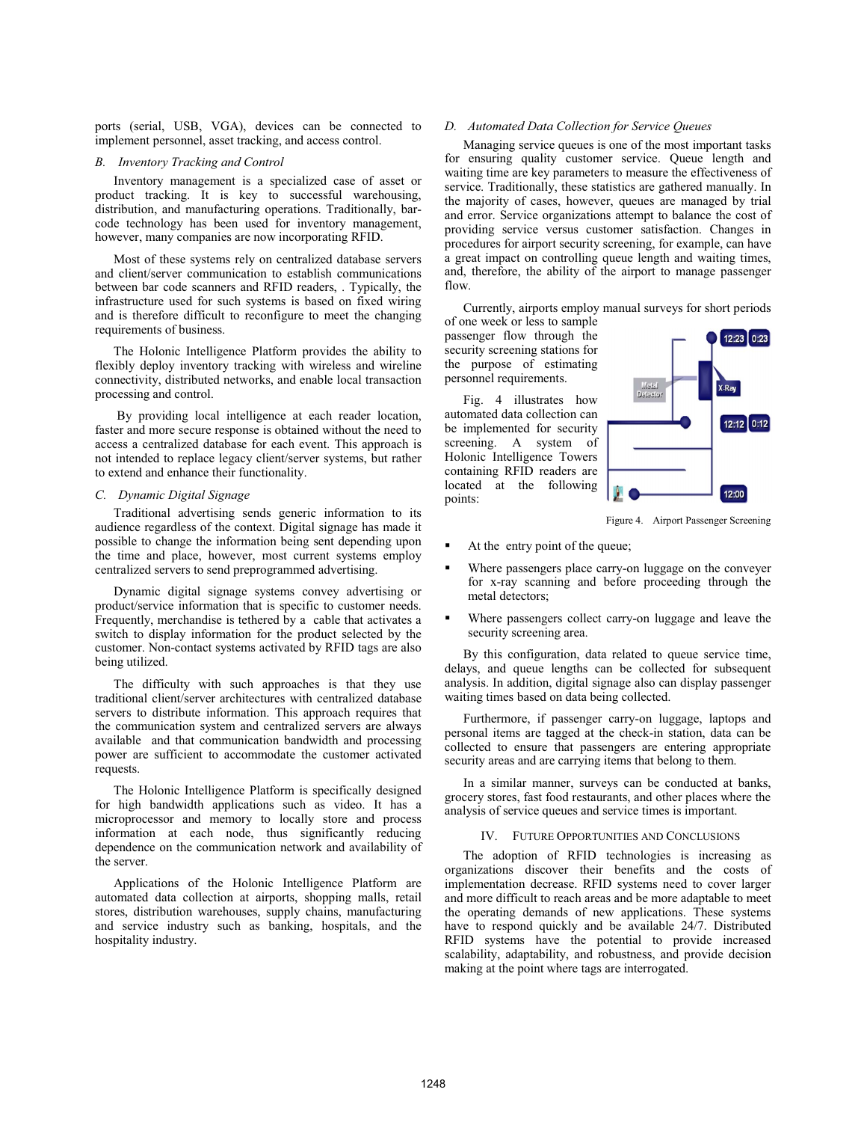ports (serial, USB, VGA), devices can be connected to implement personnel, asset tracking, and access control.

## *B. Inventory Tracking and Control*

Inventory management is a specialized case of asset or product tracking. It is key to successful warehousing, distribution, and manufacturing operations. Traditionally, barcode technology has been used for inventory management, however, many companies are now incorporating RFID.

Most of these systems rely on centralized database servers and client/server communication to establish communications between bar code scanners and RFID readers, . Typically, the infrastructure used for such systems is based on fixed wiring and is therefore difficult to reconfigure to meet the changing requirements of business.

The Holonic Intelligence Platform provides the ability to flexibly deploy inventory tracking with wireless and wireline connectivity, distributed networks, and enable local transaction processing and control.

 By providing local intelligence at each reader location, faster and more secure response is obtained without the need to access a centralized database for each event. This approach is not intended to replace legacy client/server systems, but rather to extend and enhance their functionality.

## *C. Dynamic Digital Signage*

Traditional advertising sends generic information to its audience regardless of the context. Digital signage has made it possible to change the information being sent depending upon the time and place, however, most current systems employ centralized servers to send preprogrammed advertising.

Dynamic digital signage systems convey advertising or product/service information that is specific to customer needs. Frequently, merchandise is tethered by a cable that activates a switch to display information for the product selected by the customer. Non-contact systems activated by RFID tags are also being utilized.

The difficulty with such approaches is that they use traditional client/server architectures with centralized database servers to distribute information. This approach requires that the communication system and centralized servers are always available and that communication bandwidth and processing power are sufficient to accommodate the customer activated requests.

The Holonic Intelligence Platform is specifically designed for high bandwidth applications such as video. It has a microprocessor and memory to locally store and process information at each node, thus significantly reducing dependence on the communication network and availability of the server.

Applications of the Holonic Intelligence Platform are automated data collection at airports, shopping malls, retail stores, distribution warehouses, supply chains, manufacturing and service industry such as banking, hospitals, and the hospitality industry.

## *D. Automated Data Collection for Service Queues*

Managing service queues is one of the most important tasks for ensuring quality customer service. Queue length and waiting time are key parameters to measure the effectiveness of service. Traditionally, these statistics are gathered manually. In the majority of cases, however, queues are managed by trial and error. Service organizations attempt to balance the cost of providing service versus customer satisfaction. Changes in procedures for airport security screening, for example, can have a great impact on controlling queue length and waiting times, and, therefore, the ability of the airport to manage passenger flow.

Currently, airports employ manual surveys for short periods

of one week or less to sample passenger flow through the security screening stations for the purpose of estimating personnel requirements.

Fig. 4 illustrates how automated data collection can be implemented for security screening. A system of Holonic Intelligence Towers containing RFID readers are located at the following points:



Figure 4. Airport Passenger Screening

- At the entry point of the queue;
- Where passengers place carry-on luggage on the conveyer for x-ray scanning and before proceeding through the metal detectors;
- Where passengers collect carry-on luggage and leave the security screening area.

By this configuration, data related to queue service time, delays, and queue lengths can be collected for subsequent analysis. In addition, digital signage also can display passenger waiting times based on data being collected.

Furthermore, if passenger carry-on luggage, laptops and personal items are tagged at the check-in station, data can be collected to ensure that passengers are entering appropriate security areas and are carrying items that belong to them.

In a similar manner, surveys can be conducted at banks, grocery stores, fast food restaurants, and other places where the analysis of service queues and service times is important.

#### IV. FUTURE OPPORTUNITIES AND CONCLUSIONS

The adoption of RFID technologies is increasing as organizations discover their benefits and the costs of implementation decrease. RFID systems need to cover larger and more difficult to reach areas and be more adaptable to meet the operating demands of new applications. These systems have to respond quickly and be available 24/7. Distributed RFID systems have the potential to provide increased scalability, adaptability, and robustness, and provide decision making at the point where tags are interrogated.